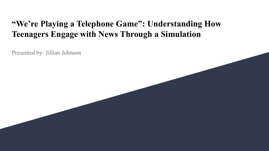### **"We're Playing a Telephone Game": Understanding How Teenagers Engage with News Through a Simulation**

Presented by: Jillian Johnson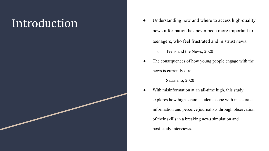- Introduction <br>
 Understanding how and where to access high-quality news information has never been more important to teenagers, who feel frustrated and mistrust news.
	- Teens and the News, 2020
	- The consequences of how young people engage with the news is currently dire.
		- **○** Satariano, 2020
	- With misinformation at an all-time high, this study explores how high school students cope with inaccurate information and perceive journalists through observation of their skills in a breaking news simulation and post-study interviews.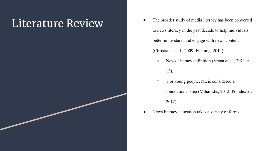- Literature Review The broader study of media literacy has been converted to news literacy in the past decade to help individuals better understand and engage with news content. (Christians et al., 2009; Fleming, 2014).
	- News Literacy definition (Vraga et al., 2021, p. 13).
	- For young people, NL is considered a foundational step (Mihailidis, 2012; Poindexter, 2012).
	- News literacy education takes a variety of forms.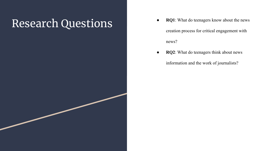## Research Questions • **RQ1**: What do teenagers know about the news

- creation process for critical engagement with news?
- **RQ2**: What do teenagers think about news information and the work of journalists?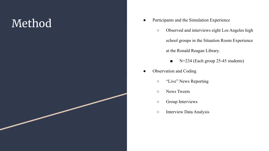# ■ Participants and the Simulation Experience<br>
■ Participants and the Simulation Experience<br>
→ Observed and interviews eight Los A

- - Observed and interviews eight Los Angeles high school groups in the Situation Room Experience at the Ronald Reagan Library.
		- N=234 (Each group 25-45 students)
- Observation and Coding
	- "Live" News Reporting
	- News Tweets
	- Group Interviews
	- Interview Data Analysis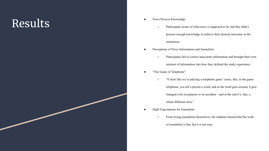# **Results** <br> **Process Knowledge**

- - Participants aware of what news is supposed to be, but they didn't possess enough knowledge to achieve their desired outcomes in the simulation.
- Perceptions of News Information and Journalists
	- Participants fail to correct inaccurate information and brought their own mistrust of information into how they defined the study experience.
- "The Game of Telephone"
	- "It feels like we're playing a telephone game 'cause, like, in the game telephone, you tell a person a word, and as the word goes around, it gets changed a bit on purpose or on accident—and at the end it's, like, a whole different story."
- High Expectations for Journalists
	- From trying journalism themselves, the students learned that the work of journalists is fun, but it is not easy.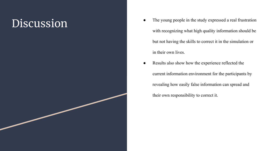- DISCUSSION The young people in the study expressed a real frustration with recognizing what high quality information should be but not having the skills to correct it in the simulation or in their own lives.
	- Results also show how the experience reflected the current information environment for the participants by revealing how easily false information can spread and their own responsibility to correct it.